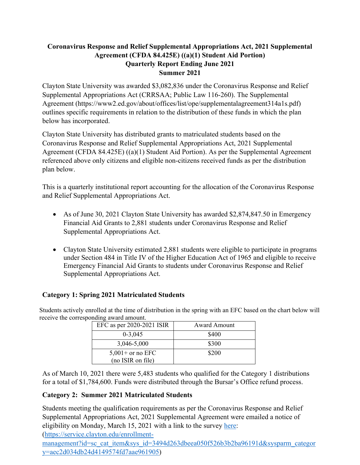# **Coronavirus Response and Relief Supplemental Appropriations Act, 2021 Supplemental Agreement (CFDA 84.425E) ((a)(1) Student Aid Portion) Quarterly Report Ending June 2021 Summer 2021**

Clayton State University was awarded \$3,082,836 under the Coronavirus Response and Relief Supplemental Appropriations Act (CRRSAA; Public Law 116-260). The Supplemental Agreement (https://www2.ed.gov/about/offices/list/ope/supplementalagreement314a1s.pdf) outlines specific requirements in relation to the distribution of these funds in which the plan below has incorporated.

Clayton State University has distributed grants to matriculated students based on the Coronavirus Response and Relief Supplemental Appropriations Act, 2021 Supplemental Agreement (CFDA 84.425E) ((a)(1) Student Aid Portion). As per the Supplemental Agreement referenced above only citizens and eligible non-citizens received funds as per the distribution plan below.

This is a quarterly institutional report accounting for the allocation of the Coronavirus Response and Relief Supplemental Appropriations Act.

- As of June 30, 2021 Clayton State University has awarded \$2,874,847.50 in Emergency Financial Aid Grants to 2,881 students under Coronavirus Response and Relief Supplemental Appropriations Act.
- Clayton State University estimated 2,881 students were eligible to participate in programs under Section 484 in Title IV of the Higher Education Act of 1965 and eligible to receive Emergency Financial Aid Grants to students under Coronavirus Response and Relief Supplemental Appropriations Act.

# **Category 1: Spring 2021 Matriculated Students**

Students actively enrolled at the time of distribution in the spring with an EFC based on the chart below will receive the corresponding award amount.

| EFC as per $2020-2021$ ISIR | Award Amount |
|-----------------------------|--------------|
| $0 - 3,045$                 | \$400        |
| 3,046-5,000                 | \$300        |
| $5,001+$ or no EFC          | \$200        |
| (no ISIR on file)           |              |

As of March 10, 2021 there were 5,483 students who qualified for the Category 1 distributions for a total of \$1,784,600. Funds were distributed through the Bursar's Office refund process.

# **Category 2: Summer 2021 Matriculated Students**

Students meeting the qualification requirements as per the Coronavirus Response and Relief Supplemental Appropriations Act, 2021 Supplemental Agreement were emailed a notice of eligibility on Monday, March 15, 2021 with a link to the survey [here:](https://service.clayton.edu/enrollment-management?id=sc_cat_item&sys_id=3494d263dbeea050f526b3b2ba96191d&sysparm_category=aec2d034db24d4149574fd7aae961905)

[\(https://service.clayton.edu/enrollment-](https://service.clayton.edu/enrollment-management?id=sc_cat_item&sys_id=3494d263dbeea050f526b3b2ba96191d&sysparm_category=aec2d034db24d4149574fd7aae961905)

[management?id=sc\\_cat\\_item&sys\\_id=3494d263dbeea050f526b3b2ba96191d&sysparm\\_categor](https://service.clayton.edu/enrollment-management?id=sc_cat_item&sys_id=3494d263dbeea050f526b3b2ba96191d&sysparm_category=aec2d034db24d4149574fd7aae961905) [y=aec2d034db24d4149574fd7aae961905\)](https://service.clayton.edu/enrollment-management?id=sc_cat_item&sys_id=3494d263dbeea050f526b3b2ba96191d&sysparm_category=aec2d034db24d4149574fd7aae961905)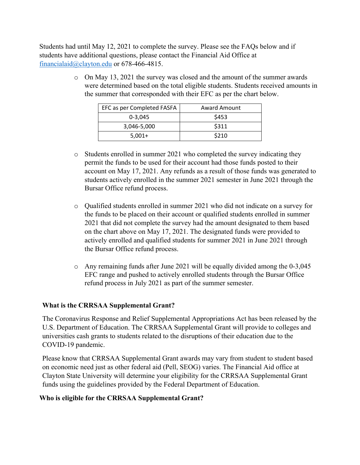Students had until May 12, 2021 to complete the survey. Please see the FAQs below and if students have additional questions, please contact the Financial Aid Office at [financialaid@clayton.edu](mailto:financialaid@clayton.edu) or 678-466-4815.

> o On May 13, 2021 the survey was closed and the amount of the summer awards were determined based on the total eligible students. Students received amounts in the summer that corresponded with their EFC as per the chart below.

| EFC as per Completed FASFA | <b>Award Amount</b> |
|----------------------------|---------------------|
| $0 - 3.045$                | \$453               |
| 3,046-5,000                | \$311               |
| $5.001+$                   | \$210               |

- o Students enrolled in summer 2021 who completed the survey indicating they permit the funds to be used for their account had those funds posted to their account on May 17, 2021. Any refunds as a result of those funds was generated to students actively enrolled in the summer 2021 semester in June 2021 through the Bursar Office refund process.
- o Qualified students enrolled in summer 2021 who did not indicate on a survey for the funds to be placed on their account or qualified students enrolled in summer 2021 that did not complete the survey had the amount designated to them based on the chart above on May 17, 2021. The designated funds were provided to actively enrolled and qualified students for summer 2021 in June 2021 through the Bursar Office refund process.
- $\circ$  Any remaining funds after June 2021 will be equally divided among the 0-3,045 EFC range and pushed to actively enrolled students through the Bursar Office refund process in July 2021 as part of the summer semester.

#### **What is the CRRSAA Supplemental Grant?**

The Coronavirus Response and Relief Supplemental Appropriations Act has been released by the U.S. Department of Education. The CRRSAA Supplemental Grant will provide to colleges and universities cash grants to students related to the disruptions of their education due to the COVID-19 pandemic.

Please know that CRRSAA Supplemental Grant awards may vary from student to student based on economic need just as other federal aid (Pell, SEOG) varies. The Financial Aid office at Clayton State University will determine your eligibility for the CRRSAA Supplemental Grant funds using the guidelines provided by the Federal Department of Education.

#### **Who is eligible for the CRRSAA Supplemental Grant?**